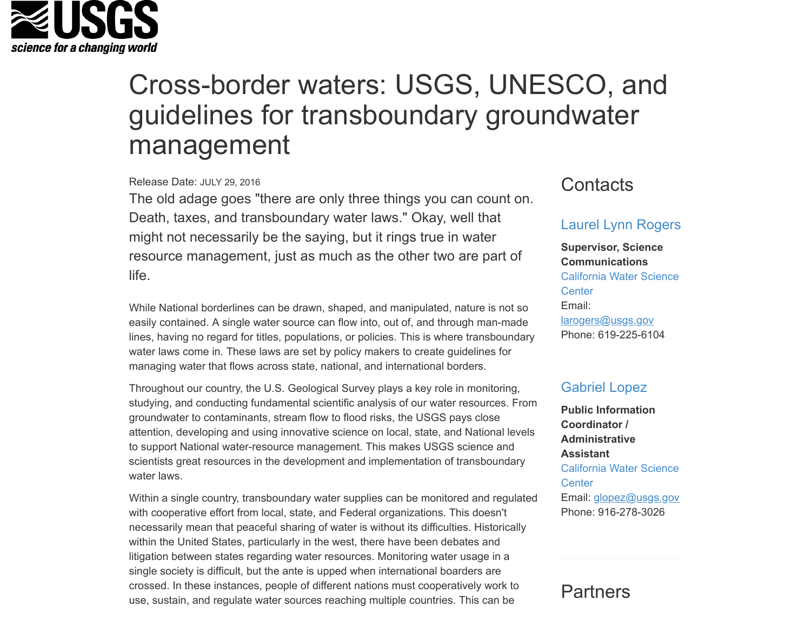

# Cross-border waters: USGS, UNESCO, and guidelines for transboundary groundwater management

#### Release Date: JULY 29, 2016

The old adage goes "there are only three things you can count on. Death, taxes, and transboundary water laws." Okay, well that might not necessarily be the saying, but it rings true in water resource management, just as much as the other two are part of life.

While National borderlines can be drawn, shaped, and manipulated, nature is not so easily contained. A single water source can flow into, out of, and through man-made lines, having no regard for titles, populations, or policies. This is where transboundary water laws come in. These laws are set by policy makers to create guidelines for managing water that flows across state, national, and international borders.

Throughout our country, the U.S. Geological Survey plays a key role in monitoring, studying, and conducting fundamental scientific analysis of our water resources. From groundwater to contaminants, stream flow to flood risks, the USGS pays close attention, developing and using innovative science on local, state, and National levels to support National water-resource management. This makes USGS science and scientists great resources in the development and implementation of transboundary water laws.

Within a single country, transboundary water supplies can be monitored and regulated with cooperative effort from local, state, and Federal organizations. This doesn't necessarily mean that peaceful sharing of water is without its difficulties. Historically within the United States, particularly in the west, there have been debates and litigation between states regarding water resources. Monitoring water usage in a single society is difficult, but the ante is upped when international boarders are crossed. In these instances, people of different nations must cooperatively work to use, sustain, and regulate water sources reaching multiple countries. This can be

# **Contacts**

## [Laurel Lynn Rogers](https://www.usgs.gov/staff-profiles/laurel-lynn-rogers)

**Supervisor, Science Communications** [California Water Science](https://www.usgs.gov/centers/ca-water) **Center** Email: [larogers@usgs.gov](mailto:larogers@usgs.gov) Phone: 619-225-6104

### [Gabriel Lopez](https://www.usgs.gov/staff-profiles/gabriel-lopez)

**Public Information Coordinator / Administrative Assistant** [California Water Science](https://www.usgs.gov/center/ca-water/) **Center** Email: [glopez@usgs.gov](mailto:glopez@usgs.gov) Phone: 916-278-3026

## **Partners**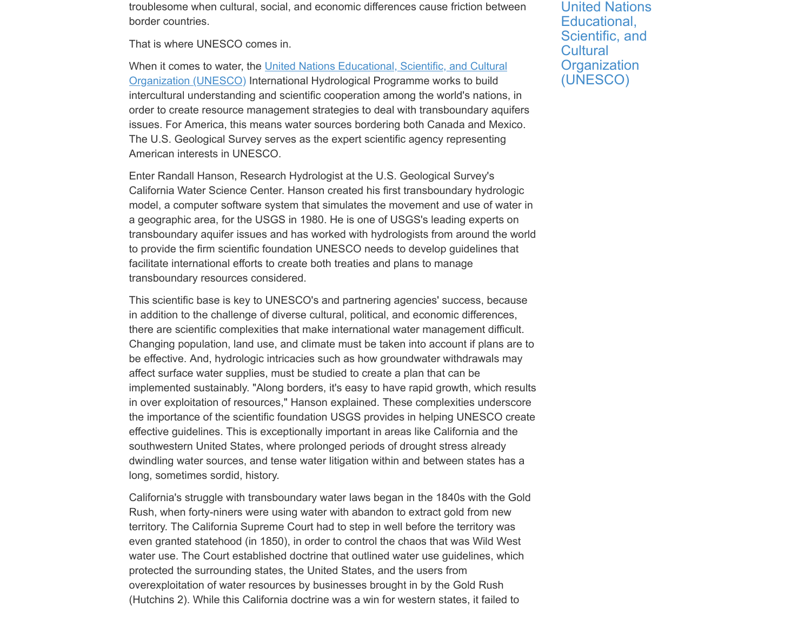troublesome when cultural, social, and economic differences cause friction between border countries.

That is where UNESCO comes in.

[When it comes to water, the United Nations Educational, Scientific, and Cultural](http://en.unesco.org/about-us/introducing-unesco) Organization (UNESCO) International Hydrological Programme works to build intercultural understanding and scientific cooperation among the world's nations, in order to create resource management strategies to deal with transboundary aquifers issues. For America, this means water sources bordering both Canada and Mexico. The U.S. Geological Survey serves as the expert scientific agency representing American interests in UNESCO.

Enter Randall Hanson, Research Hydrologist at the U.S. Geological Survey's California Water Science Center. Hanson created his first transboundary hydrologic model, a computer software system that simulates the movement and use of water in a geographic area, for the USGS in 1980. He is one of USGS's leading experts on transboundary aquifer issues and has worked with hydrologists from around the world to provide the firm scientific foundation UNESCO needs to develop guidelines that facilitate international efforts to create both treaties and plans to manage transboundary resources considered.

This scientific base is key to UNESCO's and partnering agencies' success, because in addition to the challenge of diverse cultural, political, and economic differences, there are scientific complexities that make international water management difficult. Changing population, land use, and climate must be taken into account if plans are to be effective. And, hydrologic intricacies such as how groundwater withdrawals may affect surface water supplies, must be studied to create a plan that can be implemented sustainably. "Along borders, it's easy to have rapid growth, which results in over exploitation of resources," Hanson explained. These complexities underscore the importance of the scientific foundation USGS provides in helping UNESCO create effective guidelines. This is exceptionally important in areas like California and the southwestern United States, where prolonged periods of drought stress already dwindling water sources, and tense water litigation within and between states has a long, sometimes sordid, history.

California's struggle with transboundary water laws began in the 1840s with the Gold Rush, when forty-niners were using water with abandon to extract gold from new territory. The California Supreme Court had to step in well before the territory was even granted statehood (in 1850), in order to control the chaos that was Wild West water use. The Court established doctrine that outlined water use guidelines, which protected the surrounding states, the United States, and the users from overexploitation of water resources by businesses brought in by the Gold Rush (Hutchins 2). While this California doctrine was a win for western states, it failed to

[United Nations](http://www.unesco.org/new/en/) Educational, Scientific, and **Cultural Organization** (UNESCO)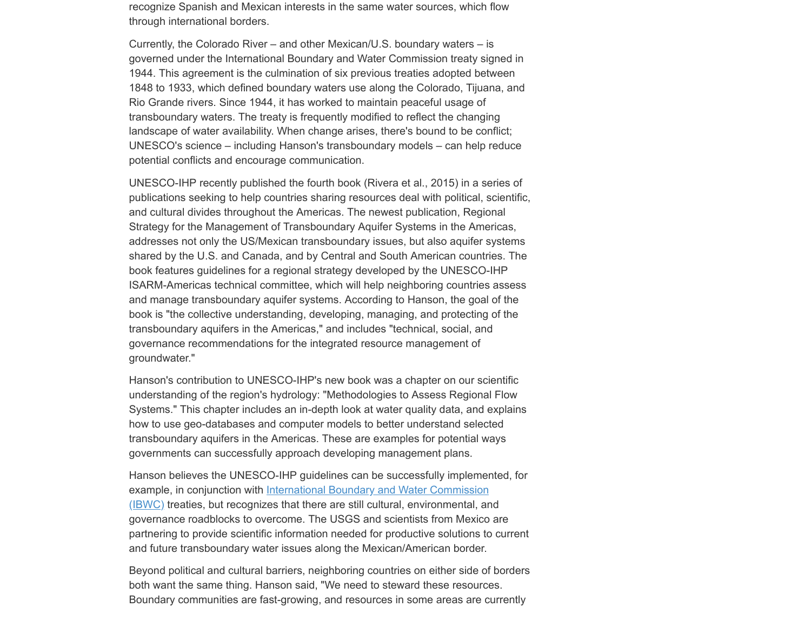recognize Spanish and Mexican interests in the same water sources, which flow through international borders.

Currently, the Colorado River – and other Mexican/U.S. boundary waters – is governed under the International Boundary and Water Commission treaty signed in 1944. This agreement is the culmination of six previous treaties adopted between 1848 to 1933, which defined boundary waters use along the Colorado, Tijuana, and Rio Grande rivers. Since 1944, it has worked to maintain peaceful usage of transboundary waters. The treaty is frequently modified to reflect the changing landscape of water availability. When change arises, there's bound to be conflict; UNESCO's science – including Hanson's transboundary models – can help reduce potential conflicts and encourage communication.

UNESCO-IHP recently published the fourth book (Rivera et al., 2015) in a series of publications seeking to help countries sharing resources deal with political, scientific, and cultural divides throughout the Americas. The newest publication, Regional Strategy for the Management of Transboundary Aquifer Systems in the Americas, addresses not only the US/Mexican transboundary issues, but also aquifer systems shared by the U.S. and Canada, and by Central and South American countries. The book features guidelines for a regional strategy developed by the UNESCO-IHP ISARM-Americas technical committee, which will help neighboring countries assess and manage transboundary aquifer systems. According to Hanson, the goal of the book is "the collective understanding, developing, managing, and protecting of the transboundary aquifers in the Americas," and includes "technical, social, and governance recommendations for the integrated resource management of groundwater."

Hanson's contribution to UNESCO-IHP's new book was a chapter on our scientific understanding of the region's hydrology: "Methodologies to Assess Regional Flow Systems." This chapter includes an in-depth look at water quality data, and explains how to use geo-databases and computer models to better understand selected transboundary aquifers in the Americas. These are examples for potential ways governments can successfully approach developing management plans.

Hanson believes the UNESCO-IHP guidelines can be successfully implemented, for example, in conjunction with International Boundary and Water Commission [\(IBWC\) treaties, but recognizes that there are still cultural, environmental, an](https://ibwc.gov/home.html)d governance roadblocks to overcome. The USGS and scientists from Mexico are partnering to provide scientific information needed for productive solutions to current and future transboundary water issues along the Mexican/American border.

Beyond political and cultural barriers, neighboring countries on either side of borders both want the same thing. Hanson said, "We need to steward these resources. Boundary communities are fast-growing, and resources in some areas are currently